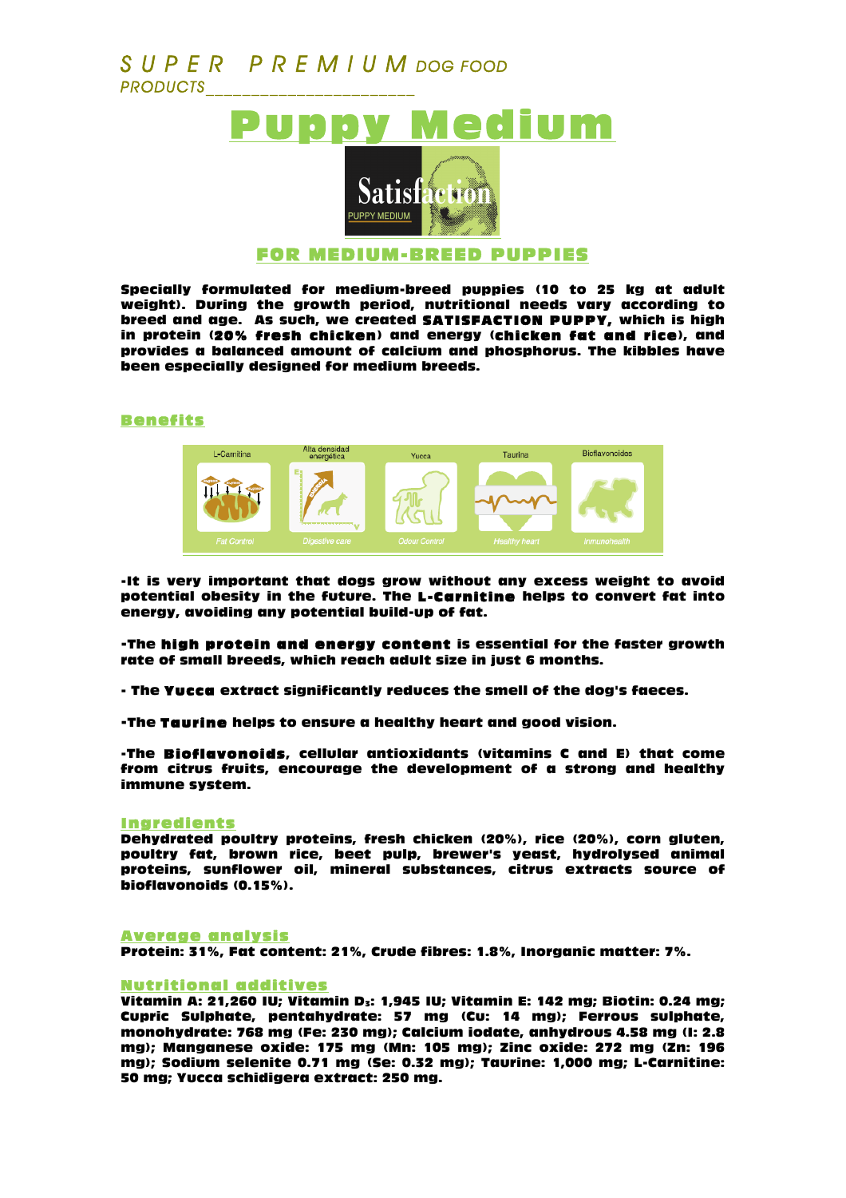# *S U P E R P R E M I U M DOG FOOD PRODUCTS\_\_\_\_\_\_\_\_\_\_\_\_\_\_\_\_\_\_\_\_\_\_\_*



Specially formulated for medium-breed puppies (10 to 25 kg at adult weight). During the growth period, nutritional needs vary according to breed and age. As such, we created SATISFACTION PUPPY, which is high in protein (20% fresh chicken) and energy (chicken fat and rice), and provides a balanced amount of calcium and phosphorus. The kibbles have been especially designed for medium breeds.

### Benefits



-It is very important that dogs grow without any excess weight to avoid potential obesity in the future. The L-Carnitine helps to convert fat into energy, avoiding any potential build-up of fat.

-The high protein and energy content is essential for the faster growth rate of small breeds, which reach adult size in just 6 months.

- The Yucca extract significantly reduces the smell of the dog's faeces.

-The Taurine helps to ensure a healthy heart and good vision.

-The Bioflavonoids, cellular antioxidants (vitamins C and E) that come from citrus fruits, encourage the development of a strong and healthy immune system.

#### Ingredients

Dehydrated poultry proteins, fresh chicken (20%), rice (20%), corn gluten, poultry fat, brown rice, beet pulp, brewer's yeast, hydrolysed animal proteins, sunflower oil, mineral substances, citrus extracts source of bioflavonoids (0.15%).

#### Average analysis

Protein: 31%, Fat content: 21%, Crude fibres: 1.8%, Inorganic matter: 7%.

#### Nutritional additives

Vitamin A: 21,260 IU; Vitamin D<sub>3</sub>: 1,945 IU; Vitamin E: 142 mg; Biotin: 0.24 mg; Cupric Sulphate, pentahydrate: 57 mg (Cu: 14 mg); Ferrous sulphate, monohydrate: 768 mg (Fe: 230 mg); Calcium iodate, anhydrous 4.58 mg (I: 2.8 mg); Manganese oxide: 175 mg (Mn: 105 mg); Zinc oxide: 272 mg (Zn: 196 mg); Sodium selenite 0.71 mg (Se: 0.32 mg); Taurine: 1,000 mg; L-Carnitine: 50 mg; Yucca schidigera extract: 250 mg.